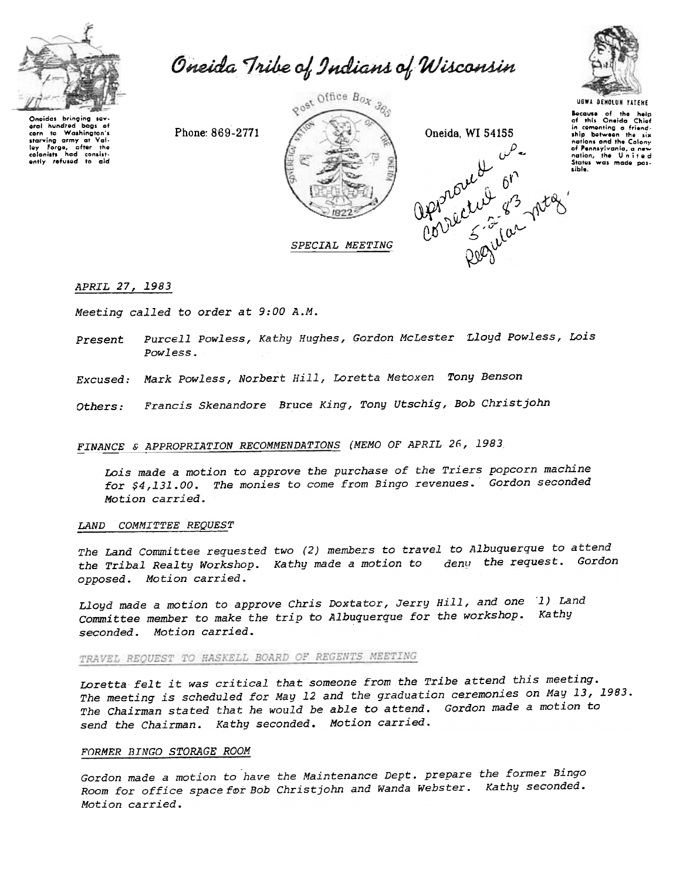

Oneida Tribe of Indians of Wisconsin



Oneidas brinaina sev eral hundred bags of<br>corn to Washington's can' in visit and you as the starting army at Val-<br>ley Forge, after the colonists had consistently refused to aid

Phone: 869-2771





UGWA DENOLUN YATENE Because of the help<br>of this Oneida Chief in comenting a friend-<br>ship between the six<br>nations and the Colony of Pennsylvania, a new<br>nation, the United sible.

## APRIL 27, 1983

Meeting called to order at 9:00 A.M.

Purcell Powless, Kathy Hughes, Gordon McLester Lloyd Powless, Lois Present Powless.

Excused: Mark Powless, Norbert Hill, Loretta Metoxen Tony Benson

Others: Francis Skenandore Bruce King, Tony Utschig, Bob Christjohn

# FINANCE & APPROPRIATION RECOMMENDATIONS (MEMO OF APRIL 26, 1983,

Lois made a motion to approve the purchase of the Triers popcorn machine for \$4,131.00. The monies to come from Bingo revenues. Gordon seconded Motion carried.

#### LAND COMMITTEE REQUEST

The Land Committee requested two (2) members to travel to Albuquerque to attend the Tribal Realty Workshop. Kathy made a motion to deny the request. Gordon opposed. Motion carried.

Lloyd made a motion to approve Chris Doxtator, Jerry Hill, and one 1) Land Committee member to make the trip to Albuquerque for the workshop. Kathy seconded. Motion carried.

# TRAVEL REQUEST TO HASKELL BOARD OF REGENTS MEETING

Loretta felt it was critical that someone from the Tribe attend this meeting. The meeting is scheduled for May 12 and the graduation ceremonies on May 13, 1983. The Chairman stated that he would be able to attend. Gordon made a motion to send the Chairman. Kathy seconded. Motion carried.

#### FORMER BINGO STORAGE ROOM

Gordon made a motion to have the Maintenance Dept. prepare the former Bingo Room for office space for Bob Christjohn and Wanda Webster. Kathy seconded. Motion carried.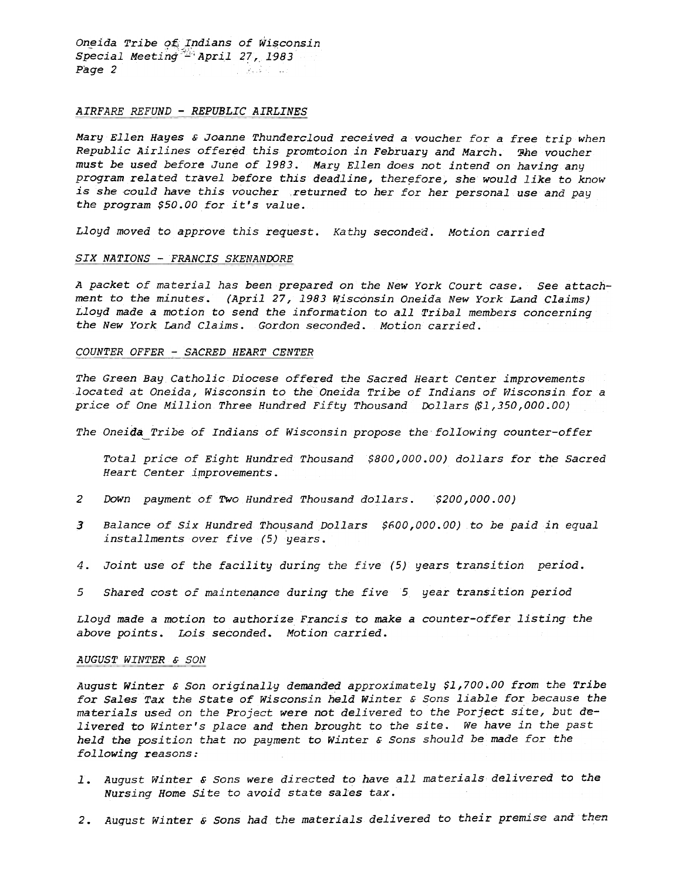Oneida Tribe of Indians of Wisconsin  $Special$  Meeting<sup>21</sup>: April 27, 1983 Page 2 **Page 2** *Page 2* 

## AIRFARE REFUND - REPUBLIC AIRLINES

Mary Ellen Hayes & Joanne Thundercloud received a voucher for a free trip when Republic Airlines offered this promtoion in February and March. The voucher must be used before June of 1983. Mary Ellen does not intend on having any program related travel before this deadline, therefore, she would like to know is she could have this voucher returned to her for her personal use and pay the program  $$50.00$  for it's value.

Lloyd moved to approve this request. Kathy seconded. Motion carried

#### SIX NATIONS - FRANCIS SKENANDORE

A packet of material has been prepared on the New York Court case. See attachment to the minutes. (April 27, 1983 Wisconsin Oneida New York Land Claims) Lloyd made a motion to send the information to all Triba1 members concerning the New York Land Claims. Gordon seconded. Motion carried.

## COUNTER OFFER - SACRED HEART CENTER

The Green Bay Catholic Diocese offered the Sacred Heart Center improvements located at Oneida, Wisconsin to the Oneida Tribe of Indians of Wisconsin for a price of One Million Three Hundred Fifty Thousand Dollars (\$1,350,000.00)

The Oneida Tribe of Indians of Wisconsin propose the following counter-offer

Total price of Eight Hundred Thousand \$800,000.00) dollars for the Sacred Heart Center improvements.

- <sup>2</sup> Down payment of Two Hundred Thousand dollars. \$200,000.00)
- 3 Balance of Six Hundred Thousand Dollars \$600,000.00) to be paid in equa installments over five (5) years.
- 4. Joint use of the facility during the five (5) years transition period.
- 5 Shared cost of maintenance during the five 5 year transition period

Lloyd made a motion to authorize Francis to make a counter-offer listing the above points. Lois seconded. Motion carried.

#### AUGUST WINTER & SON

August Winter & Son originally demanded approximately \$1,700.00 from the Tribe for Sales Tax the State of Wisconsin held Winter &; Sons liable for because the materials used on the Project were not delivered to the porject site, but delivered to Winter's place and then brought to the site. We have in the past held the position that no payment to Winter & Sons should be made for the following reasons:

- August winter & Sons were directed to have all materials delivered to the Nursing Home Site to avoid state sales tax.
- 2. August Winter & Sons had the materials delivered to their premise and then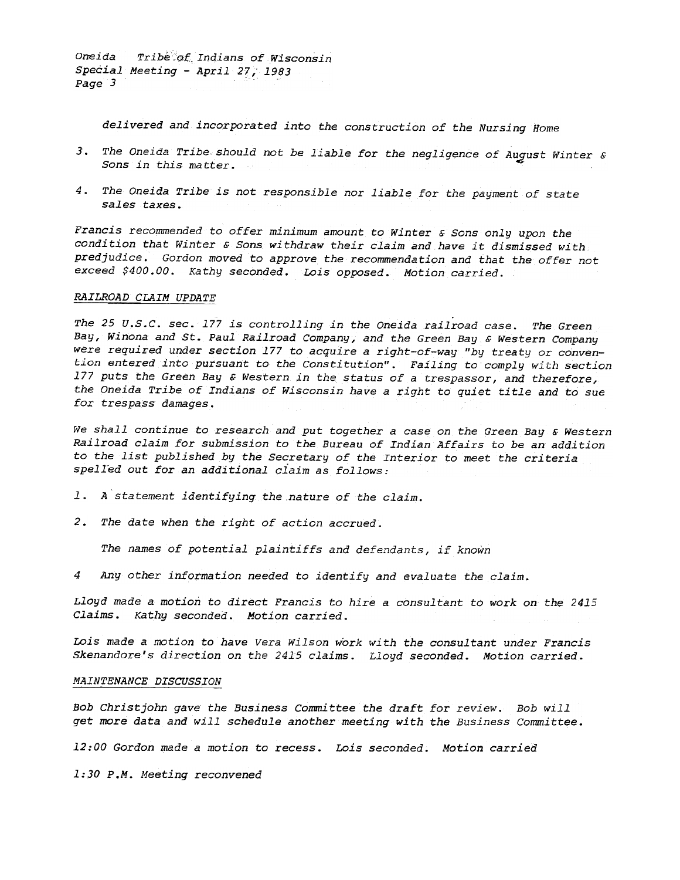Oneida Tribe of Indians of Wisconsin Special Meeting - April 27, 1983<br>Page <sup>3</sup>

delivered and incorporated into the construction of the Nursing Home

- 3. The Oneida Tribe should not be liable for the negligence of August Winter  $\delta$ Sons in this matter.
- 4. The Oneida Tribe is not responsible nor liable for the payment of state sales taxes.

Francis recommended to offer minimum amount to Winter & Sons only upon the condition that Winter & Sons withdraw their claim and have it dismissed with predjudice. Gordon moved to approve the recommendation and that the offer not exceed \$400.00. Kathy seconded. Lois opposed. Motion carried.

## RAILROAD CLAIM UPDATE

The 25 U.S.C. sec. 177 is controlling in the Oneida railroad case. The Green Bay, Winona and St. Paul Railroad Company, and the Green Bay & Western Company were required under section 177 to acquire a right-of-way "by treaty or convention entered into pursuant to the Constitution". Failing to comply with section 177 puts the Green Bay & Western in the status of a trespassor, and therefore, the Oneida Tribe of Indians of Wisconsin have a right to quiet title and to sue for trespass damages.

We shall continue to research and put together a case on the Green Bay & Western Railroad claim for submission to the Bureau of Indian Affairs to be an addition to the list published by the Secretary of the Interior to meet the criteria spelled out for an additional claim as follows:

- 1. A statement identifying the nature of the claim.
- 2. The date when the right of action accrued.

The names of potential plaintiffs and defendants, if known

4 Any other information needed to identify and evaluate the claim.

Lloyd made a motion to direct Francis to hire a consultant to work on the 2415 Claims. Kathy seconded. Motion carried.

Lois made a motion to have Vera wilson work with the consultant under Francis Skenandore's direction on the 2415 claims. Lloyd seconded. Motion carried.

#### MAINTENANCE DISCUSSION

Bob Christ john gave the Business Committee the draft for review. Bob will get more data and will schedule another meeting with the Business Committee.

12:00 Gordon made a motion to recess. Lois seconded. Motion carried

1:30 P.M. Meeting reconvened